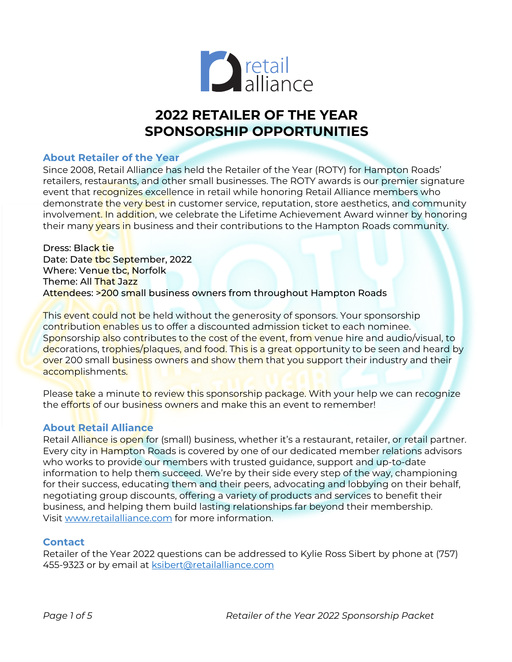

## **2022 RETAILER OF THE YEAR SPONSORSHIP OPPORTUNITIES**

#### **About Retailer of the Year**

Since 2008, Retail Alliance has held the Retailer of the Year (ROTY) for Hampton Roads' retailers, restaurants, and other small businesses. The ROTY awards is our premier signature event that recognizes excellence in retail while honoring Retail Alliance members who demonstrate the very best in customer service, reputation, store aesthetics, and community involvement. In addition, we celebrate the Lifetime Achievement Award winner by honoring their many years in business and their contributions to the Hampton Roads community.

Dress: Black tie Date: Date tbc September, 2022 Where: Venue tbc, Norfolk Theme: All That Jazz Attendees: >200 small business owners from throughout Hampton Roads

This event could not be held without the generosity of sponsors. Your sponsorship contribution enables us to offer a discounted admission ticket to each nominee. Sponsorship also contributes to the cost of the event, from venue hire and audio/visual, to decorations, trophies/plaques, and food. This is a great opportunity to be seen and heard by over 200 small business owners and show them that you support their industry and their accomplishments.

Please take a minute to review this sponsorship package. With your help we can recognize the efforts of our business owners and make this an event to remember!

#### **About Retail Alliance**

Retail Alliance is open for (small) business, whether it's a restaurant, retailer, or retail partner. Every city in Hampton Roads is covered by one of our dedicated member relations advisors who works to provide our members with trusted guidance, support and up-to-date information to help them succeed. We're by their side every step of the way, championing for their success, educating them and their peers, advocating and lobbying on their behalf, negotiating group discounts, offering a variety of products and services to benefit their business, and helping them build lasting relationships far beyond their membership. Visit www.retailalliance.com for more information.

#### **Contact**

Retailer of the Year 2022 questions can be addressed to Kylie Ross Sibert by phone at (757) 455-9323 or by email at **ksibert@retailalliance.com**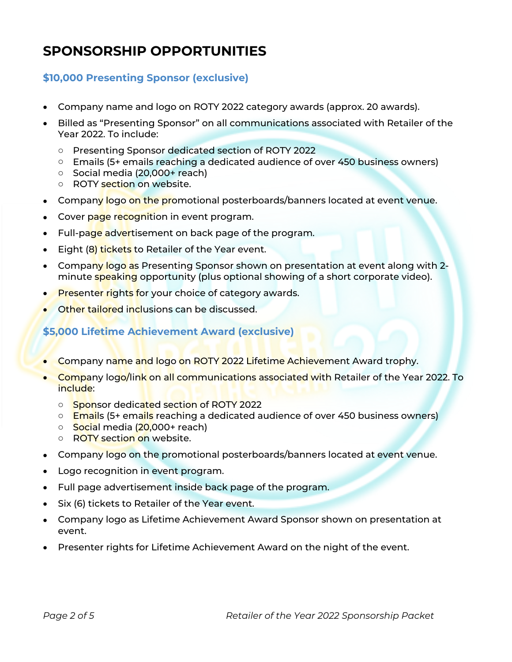# **SPONSORSHIP OPPORTUNITIES**

## **\$10,000 Presenting Sponsor (exclusive)**

- Company name and logo on ROTY 2022 category awards (approx. 20 awards).
- Billed as "Presenting Sponsor" on all communications associated with Retailer of the Year 2022. To include:
	- o Presenting Sponsor dedicated section of ROTY 2022
	- o Emails (5+ emails reaching a dedicated audience of over 450 business owners)
	- o Social media (20,000+ reach)
	- o ROTY section on website.
- Company logo on the promotional posterboards/banners located at event venue.
- Cover page recognition in event program.
- Full-page advertisement on back page of the program.
- Eight (8) tickets to Retailer of the Year event.
- Company logo as Presenting Sponsor shown on presentation at event along with 2minute speaking opportunity (plus optional showing of a short corporate video).
- Presenter rights for your choice of category awards.
- Other tailored inclusions can be discussed.

### **\$5,000 Lifetime Achievement Award (exclusive)**

- Company name and logo on ROTY 2022 Lifetime Achievement Award trophy.
- Company logo/link on all communications associated with Retailer of the Year 2022. To include:
	- o Sponsor dedicated section of ROTY 2022
	- $\circ$  Emails (5+ emails reaching a dedicated audience of over 450 business owners)
	- o Social media (20,000+ reach)
	- o ROTY section on website.
- Company logo on the promotional posterboards/banners located at event venue.
- Logo recognition in event program.
- Full page advertisement inside back page of the program.
- Six (6) tickets to Retailer of the Year event.
- Company logo as Lifetime Achievement Award Sponsor shown on presentation at event.
- Presenter rights for Lifetime Achievement Award on the night of the event.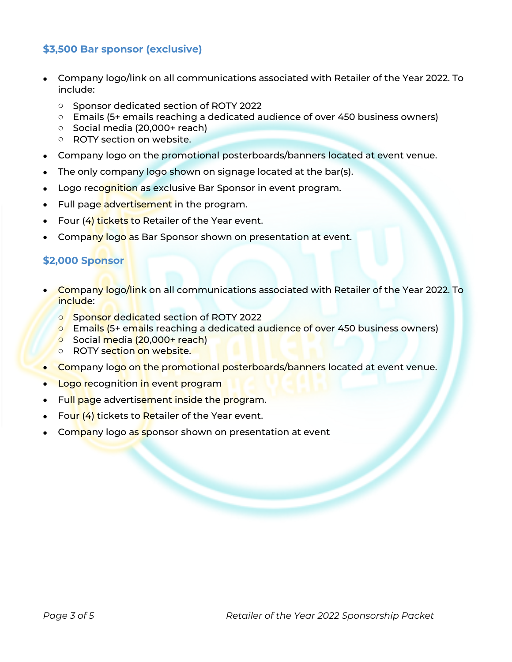## **\$3,500 Bar sponsor (exclusive)**

- Company logo/link on all communications associated with Retailer of the Year 2022. To include:
	- o Sponsor dedicated section of ROTY 2022
	- o Emails (5+ emails reaching a dedicated audience of over 450 business owners)
	- o Social media (20,000+ reach)
	- o ROTY section on website.
- Company logo on the promotional posterboards/banners located at event venue.
- The only company logo shown on signage located at the bar(s).
- Logo recognition as exclusive Bar Sponsor in event program.
- Full page advertisement in the program.
- Four (4) tickets to Retailer of the Year event.
- Company logo as Bar Sponsor shown on presentation at event.

#### **\$2,000 Sponsor**

- **Company logo/link on all communications associated with Retailer of the Year 2022. To** include:
	- o Sponsor dedicated section of ROTY 2022
	- o Emails (5+ emails reaching a dedicated audience of over 450 business owners)
	- o Social media (20,000+ reach)
	- o ROTY section on website.
- **Company logo on the promotional posterboards/banners located at event venue.**
- Logo recognition in event program
- Full page advertisement inside the program.
- Four (4) tickets to Retailer of the Year event.
- Company logo as sponsor shown on presentation at event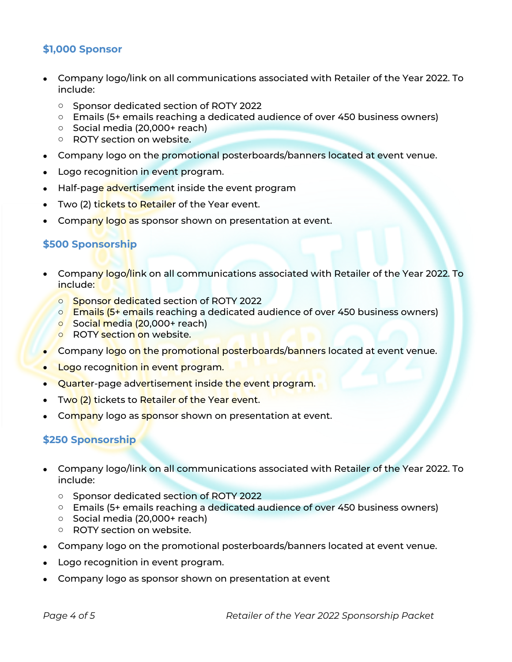### **\$1,000 Sponsor**

- Company logo/link on all communications associated with Retailer of the Year 2022. To include:
	- o Sponsor dedicated section of ROTY 2022
	- o Emails (5+ emails reaching a dedicated audience of over 450 business owners)
	- o Social media (20,000+ reach)
	- o ROTY section on website.
- Company logo on the promotional posterboards/banners located at event venue.
- Logo recognition in event program.
- Half-page advertisement inside the event program
- Two (2) tickets to Retailer of the Year event.
- Company logo as sponsor shown on presentation at event.

## **\$500 Sponsorship**

- Company logo/link on all communications associated with Retailer of the Year 2022. To include:
	- o Sponsor dedicated section of ROTY 2022
	- $\circ$  Emails (5+ emails reaching a dedicated audience of over 450 business owners)
	- o Social media (20,000+ reach)
	- **o** ROTY section on website.
- **Company logo on the promotional posterboards/banners located at event venue.**
- **Logo** recognition in event program.
- Quarter-page advertisement inside the event program.
- Two (2) tickets to Retailer of the Year event.
- Company logo as sponsor shown on presentation at event.

#### **\$250 Sponsorship**

- Company logo/link on all communications associated with Retailer of the Year 2022. To include:
	- o Sponsor dedicated section of ROTY 2022
	- o Emails (5+ emails reaching a dedicated audience of over 450 business owners)
	- o Social media (20,000+ reach)
	- o ROTY section on website.
- Company logo on the promotional posterboards/banners located at event venue.
- Logo recognition in event program.
- Company logo as sponsor shown on presentation at event